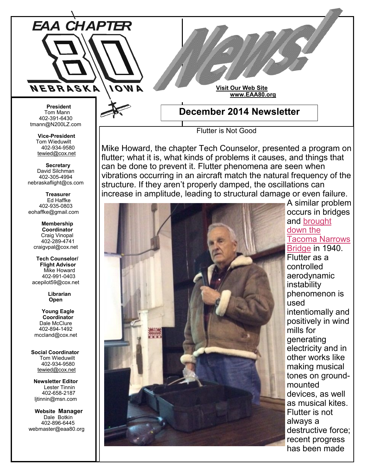

Flutter is Not Good

Mike Howard, the chapter Tech Counselor, presented a program on flutter; what it is, what kinds of problems it causes, and things that can be done to prevent it. Flutter phenomena are seen when vibrations occurring in an aircraft match the natural frequency of the structure. If they aren't properly damped, the oscillations can increase in amplitude, leading to structural damage or even failure.



A similar problem occurs in bridges and [brought](http://www.youtube.com/watch?v=j-zczJXSxnw)  [down the](http://www.youtube.com/watch?v=j-zczJXSxnw)  [Tacoma Narrows](http://www.youtube.com/watch?v=j-zczJXSxnw)  [Bridge](http://www.youtube.com/watch?v=j-zczJXSxnw) in 1940. Flutter as a controlled aerodynamic instability phenomenon is used intentiomally and positively in wind mills for generating electricity and in other works like making musical tones on groundmounted devices, as well as musical kites. Flutter is not always a destructive force; recent progress has been made

tmann@N200LZ.com

**Vice-President** Tom Wieduwilt 402-934-9580 [tewied@cox.net](javascript:parent.wgMail.openComposeWindow()

 **Secretary** David Silchman 402-305-4994 nebraskaflight@cs.com

 **Treasurer** Ed Haffke 402-935-0803 eohaffke@gmail.com

> **Membership Coordinator** Craig Vinopal 402-289-4741 craigvpal@cox.net

 **Tech Counselor/ Flight Advisor** Mike Howard 402-991-0403 acepilot59@cox.net

> **Librarian Open**

 **Young Eagle Coordinator** Dale McClure 402-894-1492 mccland@cox.net

 **Social Coordinator** Tom Wieduwilt 402-934-9580 [tewied@cox.net](javascript:parent.wgMail.openComposeWindow()

**Newsletter Editor** Lester Tinnin 402-658-2187 ljtinnin@msn.com

 **Website Manager** Dale Botkin 402-896-6445 webmaster@eaa80.org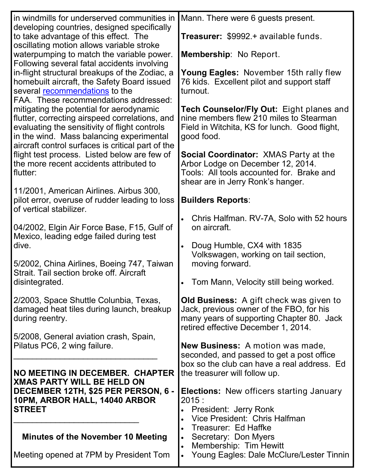| in windmills for underserved communities in                                                                                                                                                                                                  | Mann. There were 6 guests present.                                                                                                                                             |
|----------------------------------------------------------------------------------------------------------------------------------------------------------------------------------------------------------------------------------------------|--------------------------------------------------------------------------------------------------------------------------------------------------------------------------------|
| developing countries, designed specifically<br>to take advantage of this effect. The<br>oscillating motion allows variable stroke                                                                                                            | <b>Treasurer: \$9992.+ available funds.</b>                                                                                                                                    |
| waterpumping to match the variable power.<br>Following several fatal accidents involving                                                                                                                                                     | Membership: No Report.                                                                                                                                                         |
| in-flight structural breakups of the Zodiac, a<br>homebuilt aircraft, the Safety Board issued<br>several recommendations to the<br>FAA. These recommendations addressed:                                                                     | Young Eagles: November 15th rally flew<br>76 kids. Excellent pilot and support staff<br>turnout.                                                                               |
| mitigating the potential for aerodynamic<br>flutter, correcting airspeed correlations, and<br>evaluating the sensitivity of flight controls<br>in the wind. Mass balancing experimental<br>aircraft control surfaces is critical part of the | Tech Counselor/Fly Out: Eight planes and<br>nine members flew 210 miles to Stearman<br>Field in Witchita, KS for lunch. Good flight,<br>good food.                             |
| flight test process. Listed below are few of<br>the more recent accidents attributed to<br>flutter:                                                                                                                                          | <b>Social Coordinator: XMAS Party at the</b><br>Arbor Lodge on December 12, 2014.<br>Tools: All tools accounted for. Brake and<br>shear are in Jerry Ronk's hanger.            |
| 11/2001, American Airlines. Airbus 300,                                                                                                                                                                                                      |                                                                                                                                                                                |
| pilot error, overuse of rudder leading to loss<br>of vertical stabilizer.                                                                                                                                                                    | <b>Builders Reports:</b>                                                                                                                                                       |
| 04/2002, Elgin Air Force Base, F15, Gulf of<br>Mexico, leading edge failed during test                                                                                                                                                       | Chris Halfman. RV-7A, Solo with 52 hours<br>$\bullet$<br>on aircraft.                                                                                                          |
| dive.                                                                                                                                                                                                                                        | Doug Humble, CX4 with 1835<br>$\bullet$                                                                                                                                        |
| 5/2002, China Airlines, Boeing 747, Taiwan                                                                                                                                                                                                   | Volkswagen, working on tail section,<br>moving forward.                                                                                                                        |
| Strait. Tail section broke off. Aircraft<br>disintegrated.                                                                                                                                                                                   | Tom Mann, Velocity still being worked.<br>$\bullet$                                                                                                                            |
| 2/2003, Space Shuttle Colunbia, Texas,<br>damaged heat tiles during launch, breakup<br>during reentry.                                                                                                                                       | <b>Old Business:</b> A gift check was given to<br>Jack, previous owner of the FBO, for his<br>many years of supporting Chapter 80. Jack<br>retired effective December 1, 2014. |
| 5/2008, General aviation crash, Spain,<br>Pilatus PC6, 2 wing failure.                                                                                                                                                                       | <b>New Business:</b> A motion was made,<br>seconded, and passed to get a post office                                                                                           |
|                                                                                                                                                                                                                                              | box so the club can have a real address. Ed                                                                                                                                    |
| NO MEETING IN DECEMBER. CHAPTER<br><b>XMAS PARTY WILL BE HELD ON</b>                                                                                                                                                                         | the treasurer will follow up.                                                                                                                                                  |
| DECEMBER 12TH, \$25 PER PERSON, 6 -                                                                                                                                                                                                          | <b>Elections:</b> New officers starting January                                                                                                                                |
| 10PM, ARBOR HALL, 14040 ARBOR<br><b>STREET</b>                                                                                                                                                                                               | 2015:                                                                                                                                                                          |
|                                                                                                                                                                                                                                              | President: Jerry Ronk<br>Vice President: Chris Halfman                                                                                                                         |
|                                                                                                                                                                                                                                              | Treasurer: Ed Haffke                                                                                                                                                           |
| <b>Minutes of the November 10 Meeting</b>                                                                                                                                                                                                    | Secretary: Don Myers<br>$\bullet$                                                                                                                                              |
|                                                                                                                                                                                                                                              | Membership: Tim Hewitt                                                                                                                                                         |
| Meeting opened at 7PM by President Tom                                                                                                                                                                                                       | Young Eagles: Dale McClure/Lester Tinnin                                                                                                                                       |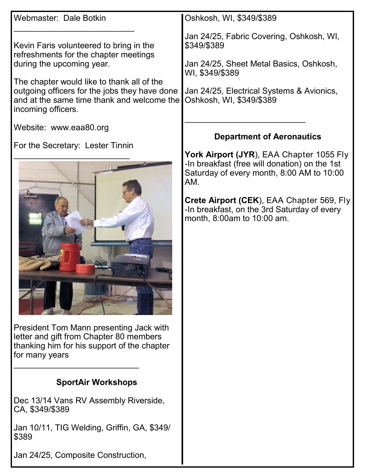| Webmaster: Dale Botkin                                                                                                                                                                                                                                                           | Oshkosh, WI, \$349/\$389                                                                                                                                                                                                                                                |
|----------------------------------------------------------------------------------------------------------------------------------------------------------------------------------------------------------------------------------------------------------------------------------|-------------------------------------------------------------------------------------------------------------------------------------------------------------------------------------------------------------------------------------------------------------------------|
| Kevin Faris volunteered to bring in the<br>refreshments for the chapter meetings<br>during the upcoming year.<br>The chapter would like to thank all of the<br>outgoing officers for the jobs they have done<br>and at the same time thank and welcome the<br>incoming officers. | Jan 24/25, Fabric Covering, Oshkosh, WI,<br>\$349/\$389<br>Jan 24/25, Sheet Metal Basics, Oshkosh,<br>WI, \$349/\$389<br>Jan 24/25, Electrical Systems & Avionics,<br>Oshkosh, WI, \$349/\$389                                                                          |
| Website: www.eaa80.org                                                                                                                                                                                                                                                           | <b>Department of Aeronautics</b>                                                                                                                                                                                                                                        |
| For the Secretary: Lester Tinnin                                                                                                                                                                                                                                                 | York Airport (JYR), EAA Chapter 1055 Fly<br>-In breakfast (free will donation) on the 1st<br>Saturday of every month, 8:00 AM to 10:00<br>AM.<br>Crete Airport (CEK), EAA Chapter 569, Fly<br>-In breakfast, on the 3rd Saturday of every<br>month, 8:00am to 10:00 am. |
| President Tom Mann presenting Jack with<br>letter and gift from Chapter 80 members<br>thanking him for his support of the chapter<br>for many years                                                                                                                              |                                                                                                                                                                                                                                                                         |
| <b>SportAir Workshops</b>                                                                                                                                                                                                                                                        |                                                                                                                                                                                                                                                                         |
| Dec 13/14 Vans RV Assembly Riverside,<br>CA, \$349/\$389                                                                                                                                                                                                                         |                                                                                                                                                                                                                                                                         |
| Jan 10/11, TIG Welding, Griffin, GA, \$349/<br>\$389                                                                                                                                                                                                                             |                                                                                                                                                                                                                                                                         |
| Jan 24/25, Composite Construction,                                                                                                                                                                                                                                               |                                                                                                                                                                                                                                                                         |